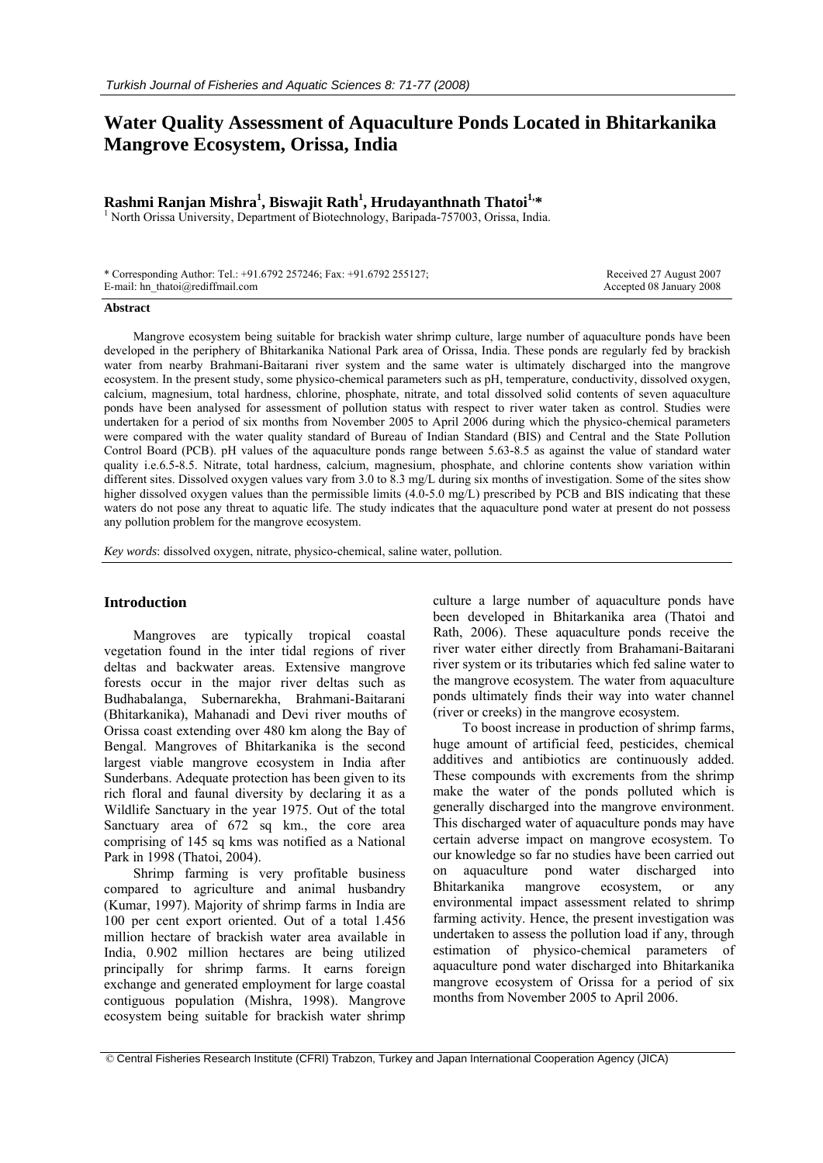# **Water Quality Assessment of Aquaculture Ponds Located in Bhitarkanika Mangrove Ecosystem, Orissa, India**

# **Rashmi Ranjan Mishra<sup>1</sup>, Biswajit Rath<sup>1</sup>, Hrudayanthnath Thatoi<sup>1,\*</sup><br><sup>1</sup> North Orissa University, Department of Bistashnalogy, Barinada 757003, Orissa India**

<sup>1</sup> North Orissa University, Department of Biotechnology, Baripada-757003, Orissa, India.

\* Corresponding Author: Tel.: +91.6792 257246; Fax: +91.6792 255127; E-mail: hn\_thatoi@rediffmail.com

 Received 27 August 2007 Accepted 08 January 2008

#### **Abstract**

Mangrove ecosystem being suitable for brackish water shrimp culture, large number of aquaculture ponds have been developed in the periphery of Bhitarkanika National Park area of Orissa, India. These ponds are regularly fed by brackish water from nearby Brahmani-Baitarani river system and the same water is ultimately discharged into the mangrove ecosystem. In the present study, some physico-chemical parameters such as pH, temperature, conductivity, dissolved oxygen, calcium, magnesium, total hardness, chlorine, phosphate, nitrate, and total dissolved solid contents of seven aquaculture ponds have been analysed for assessment of pollution status with respect to river water taken as control. Studies were undertaken for a period of six months from November 2005 to April 2006 during which the physico-chemical parameters were compared with the water quality standard of Bureau of Indian Standard (BIS) and Central and the State Pollution Control Board (PCB). pH values of the aquaculture ponds range between 5.63-8.5 as against the value of standard water quality i.e.6.5-8.5. Nitrate, total hardness, calcium, magnesium, phosphate, and chlorine contents show variation within different sites. Dissolved oxygen values vary from 3.0 to 8.3 mg/L during six months of investigation. Some of the sites show higher dissolved oxygen values than the permissible limits (4.0-5.0 mg/L) prescribed by PCB and BIS indicating that these waters do not pose any threat to aquatic life. The study indicates that the aquaculture pond water at present do not possess any pollution problem for the mangrove ecosystem.

*Key words*: dissolved oxygen, nitrate, physico-chemical, saline water, pollution.

## **Introduction**

Mangroves are typically tropical coastal vegetation found in the inter tidal regions of river deltas and backwater areas. Extensive mangrove forests occur in the major river deltas such as Budhabalanga, Subernarekha, Brahmani-Baitarani (Bhitarkanika), Mahanadi and Devi river mouths of Orissa coast extending over 480 km along the Bay of Bengal. Mangroves of Bhitarkanika is the second largest viable mangrove ecosystem in India after Sunderbans. Adequate protection has been given to its rich floral and faunal diversity by declaring it as a Wildlife Sanctuary in the year 1975. Out of the total Sanctuary area of 672 sq km., the core area comprising of 145 sq kms was notified as a National Park in 1998 (Thatoi, 2004).

Shrimp farming is very profitable business compared to agriculture and animal husbandry (Kumar, 1997). Majority of shrimp farms in India are 100 per cent export oriented. Out of a total 1.456 million hectare of brackish water area available in India, 0.902 million hectares are being utilized principally for shrimp farms. It earns foreign exchange and generated employment for large coastal contiguous population (Mishra, 1998). Mangrove ecosystem being suitable for brackish water shrimp

culture a large number of aquaculture ponds have been developed in Bhitarkanika area (Thatoi and Rath, 2006). These aquaculture ponds receive the river water either directly from Brahamani-Baitarani river system or its tributaries which fed saline water to the mangrove ecosystem. The water from aquaculture ponds ultimately finds their way into water channel (river or creeks) in the mangrove ecosystem.

To boost increase in production of shrimp farms, huge amount of artificial feed, pesticides, chemical additives and antibiotics are continuously added. These compounds with excrements from the shrimp make the water of the ponds polluted which is generally discharged into the mangrove environment. This discharged water of aquaculture ponds may have certain adverse impact on mangrove ecosystem. To our knowledge so far no studies have been carried out on aquaculture pond water discharged into Bhitarkanika mangrove ecosystem, or any environmental impact assessment related to shrimp farming activity. Hence, the present investigation was undertaken to assess the pollution load if any, through estimation of physico-chemical parameters of aquaculture pond water discharged into Bhitarkanika mangrove ecosystem of Orissa for a period of six months from November 2005 to April 2006.

 <sup>©</sup> Central Fisheries Research Institute (CFRI) Trabzon, Turkey and Japan International Cooperation Agency (JICA)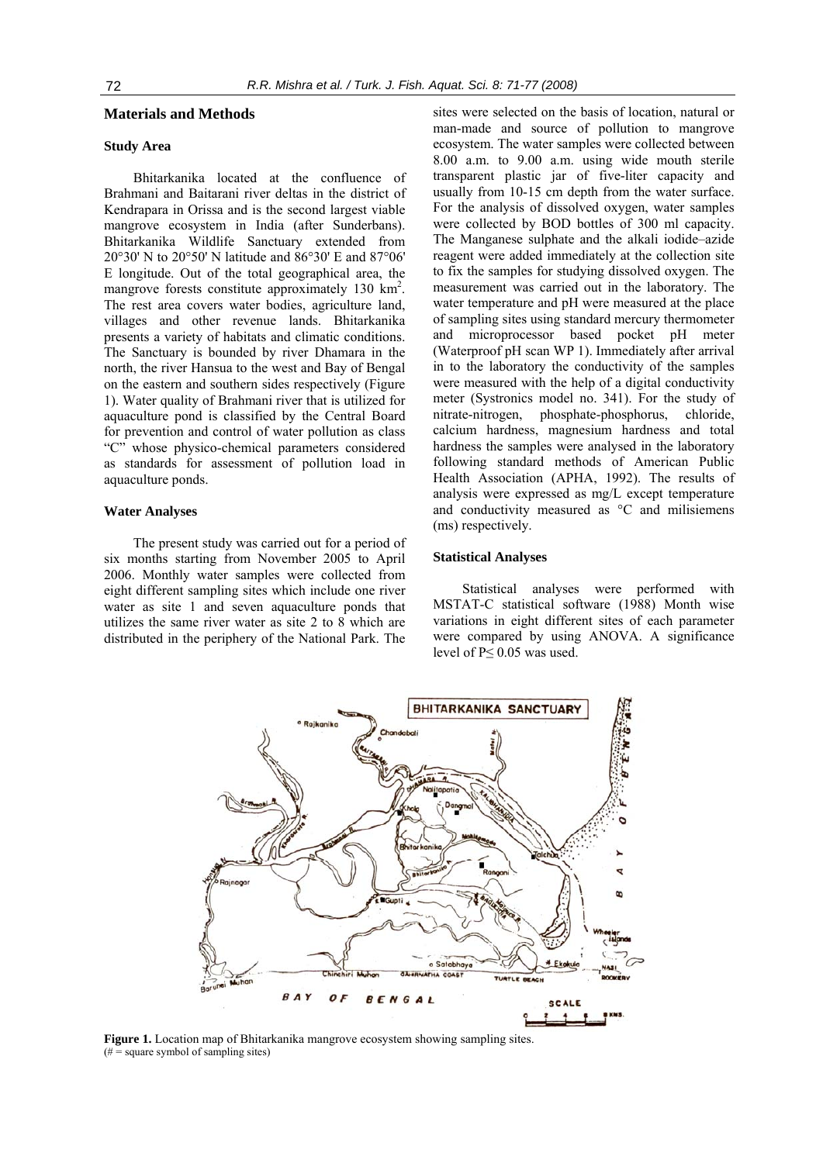### **Materials and Methods**

### **Study Area**

Bhitarkanika located at the confluence of Brahmani and Baitarani river deltas in the district of Kendrapara in Orissa and is the second largest viable mangrove ecosystem in India (after Sunderbans). Bhitarkanika Wildlife Sanctuary extended from 20°30' N to 20°50' N latitude and 86°30' E and 87°06' E longitude. Out of the total geographical area, the mangrove forests constitute approximately 130 km<sup>2</sup>. The rest area covers water bodies, agriculture land, villages and other revenue lands. Bhitarkanika presents a variety of habitats and climatic conditions. The Sanctuary is bounded by river Dhamara in the north, the river Hansua to the west and Bay of Bengal on the eastern and southern sides respectively (Figure 1). Water quality of Brahmani river that is utilized for aquaculture pond is classified by the Central Board for prevention and control of water pollution as class "C" whose physico-chemical parameters considered as standards for assessment of pollution load in aquaculture ponds.

#### **Water Analyses**

The present study was carried out for a period of six months starting from November 2005 to April 2006. Monthly water samples were collected from eight different sampling sites which include one river water as site 1 and seven aquaculture ponds that utilizes the same river water as site 2 to 8 which are distributed in the periphery of the National Park. The

sites were selected on the basis of location, natural or man-made and source of pollution to mangrove ecosystem. The water samples were collected between 8.00 a.m. to 9.00 a.m. using wide mouth sterile transparent plastic jar of five-liter capacity and usually from 10-15 cm depth from the water surface. For the analysis of dissolved oxygen, water samples were collected by BOD bottles of 300 ml capacity. The Manganese sulphate and the alkali iodide–azide reagent were added immediately at the collection site to fix the samples for studying dissolved oxygen. The measurement was carried out in the laboratory. The water temperature and pH were measured at the place of sampling sites using standard mercury thermometer and microprocessor based pocket pH meter (Waterproof pH scan WP 1). Immediately after arrival in to the laboratory the conductivity of the samples were measured with the help of a digital conductivity meter (Systronics model no. 341). For the study of nitrate-nitrogen, phosphate-phosphorus, chloride, calcium hardness, magnesium hardness and total hardness the samples were analysed in the laboratory following standard methods of American Public Health Association (APHA, 1992). The results of analysis were expressed as mg/L except temperature and conductivity measured as °C and milisiemens (ms) respectively.

#### **Statistical Analyses**

Statistical analyses were performed with MSTAT-C statistical software (1988) Month wise variations in eight different sites of each parameter were compared by using ANOVA. A significance level of P≤ 0.05 was used.



**Figure 1.** Location map of Bhitarkanika mangrove ecosystem showing sampling sites.  $(# = square symbol of sampling sites)$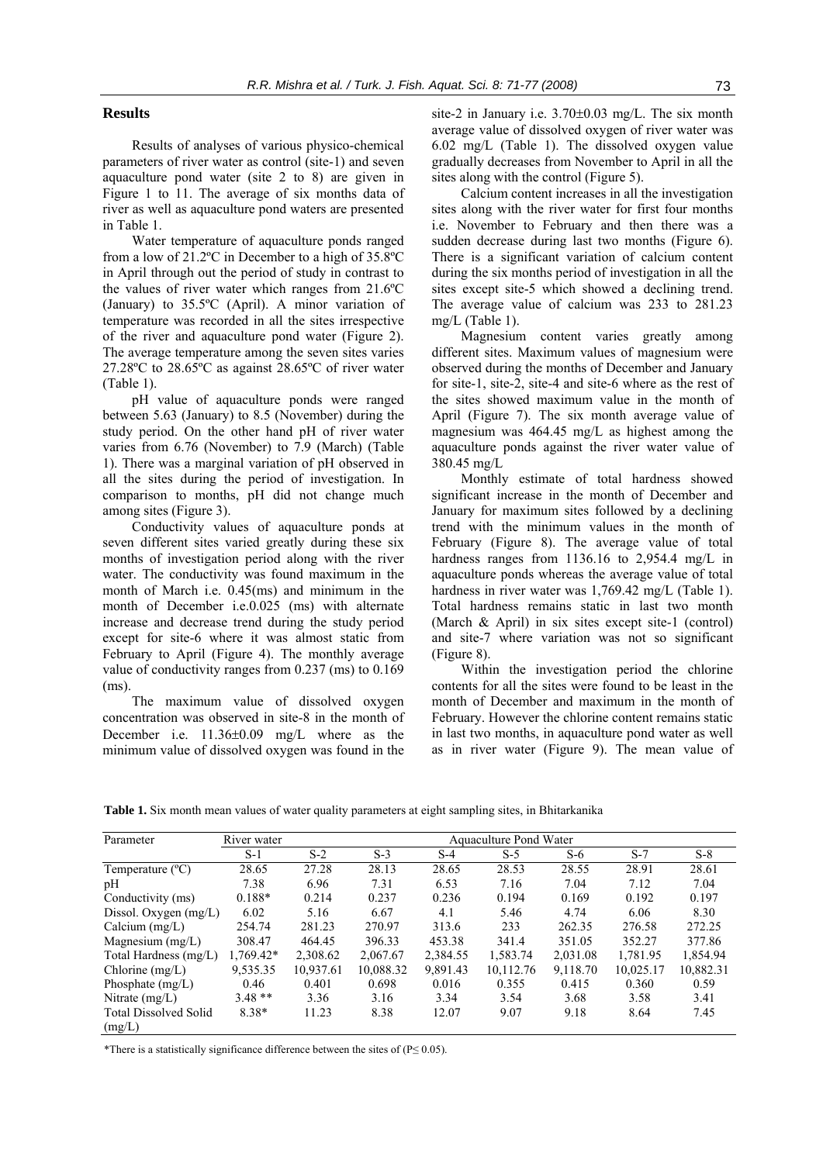# **Results**

Results of analyses of various physico-chemical parameters of river water as control (site-1) and seven aquaculture pond water (site 2 to 8) are given in Figure 1 to 11. The average of six months data of river as well as aquaculture pond waters are presented in Table 1.

Water temperature of aquaculture ponds ranged from a low of 21.2ºC in December to a high of 35.8ºC in April through out the period of study in contrast to the values of river water which ranges from 21.6ºC (January) to 35.5ºC (April). A minor variation of temperature was recorded in all the sites irrespective of the river and aquaculture pond water (Figure 2). The average temperature among the seven sites varies 27.28ºC to 28.65ºC as against 28.65ºC of river water (Table 1).

pH value of aquaculture ponds were ranged between 5.63 (January) to 8.5 (November) during the study period. On the other hand pH of river water varies from 6.76 (November) to 7.9 (March) (Table 1). There was a marginal variation of pH observed in all the sites during the period of investigation. In comparison to months, pH did not change much among sites (Figure 3).

Conductivity values of aquaculture ponds at seven different sites varied greatly during these six months of investigation period along with the river water. The conductivity was found maximum in the month of March i.e. 0.45(ms) and minimum in the month of December i.e.0.025 (ms) with alternate increase and decrease trend during the study period except for site-6 where it was almost static from February to April (Figure 4). The monthly average value of conductivity ranges from 0.237 (ms) to 0.169 (ms).

The maximum value of dissolved oxygen concentration was observed in site-8 in the month of December i.e. 11.36±0.09 mg/L where as the minimum value of dissolved oxygen was found in the site-2 in January i.e. 3.70±0.03 mg/L. The six month average value of dissolved oxygen of river water was 6.02 mg/L (Table 1). The dissolved oxygen value gradually decreases from November to April in all the sites along with the control (Figure 5).

Calcium content increases in all the investigation sites along with the river water for first four months i.e. November to February and then there was a sudden decrease during last two months (Figure 6). There is a significant variation of calcium content during the six months period of investigation in all the sites except site-5 which showed a declining trend. The average value of calcium was 233 to 281.23 mg/L (Table 1).

Magnesium content varies greatly among different sites. Maximum values of magnesium were observed during the months of December and January for site-1, site-2, site-4 and site-6 where as the rest of the sites showed maximum value in the month of April (Figure 7). The six month average value of magnesium was 464.45 mg/L as highest among the aquaculture ponds against the river water value of 380.45 mg/L

Monthly estimate of total hardness showed significant increase in the month of December and January for maximum sites followed by a declining trend with the minimum values in the month of February (Figure 8). The average value of total hardness ranges from 1136.16 to 2,954.4 mg/L in aquaculture ponds whereas the average value of total hardness in river water was 1,769.42 mg/L (Table 1). Total hardness remains static in last two month (March & April) in six sites except site-1 (control) and site-7 where variation was not so significant (Figure 8).

Within the investigation period the chlorine contents for all the sites were found to be least in the month of December and maximum in the month of February. However the chlorine content remains static in last two months, in aquaculture pond water as well as in river water (Figure 9). The mean value of

**Table 1.** Six month mean values of water quality parameters at eight sampling sites, in Bhitarkanika

| Parameter                              | River water |           | Aquaculture Pond Water |          |           |          |           |           |  |
|----------------------------------------|-------------|-----------|------------------------|----------|-----------|----------|-----------|-----------|--|
|                                        | $S-1$       | $S-2$     | $S-3$                  | $S-4$    | $S-5$     | $S-6$    | $S-7$     | $S-8$     |  |
| Temperature $(^{\circ}C)$              | 28.65       | 27.28     | 28.13                  | 28.65    | 28.53     | 28.55    | 28.91     | 28.61     |  |
| pH                                     | 7.38        | 6.96      | 7.31                   | 6.53     | 7.16      | 7.04     | 7.12      | 7.04      |  |
| Conductivity (ms)                      | $0.188*$    | 0.214     | 0.237                  | 0.236    | 0.194     | 0.169    | 0.192     | 0.197     |  |
| Dissol. Oxygen (mg/L)                  | 6.02        | 5.16      | 6.67                   | 4.1      | 5.46      | 4.74     | 6.06      | 8.30      |  |
| Calcium $(mg/L)$                       | 254.74      | 281.23    | 270.97                 | 313.6    | 233       | 262.35   | 276.58    | 272.25    |  |
| Magnesium $(mg/L)$                     | 308.47      | 464.45    | 396.33                 | 453.38   | 341.4     | 351.05   | 352.27    | 377.86    |  |
| Total Hardness (mg/L)                  | 1,769.42*   | 2,308.62  | 2,067.67               | 2,384.55 | 1,583.74  | 2,031.08 | 1,781.95  | 1,854.94  |  |
| Chlorine $(mg/L)$                      | 9,535.35    | 10,937.61 | 10,088.32              | 9,891.43 | 10,112.76 | 9,118.70 | 10,025.17 | 10,882.31 |  |
| Phosphate $(mg/L)$                     | 0.46        | 0.401     | 0.698                  | 0.016    | 0.355     | 0.415    | 0.360     | 0.59      |  |
| Nitrate $(mg/L)$                       | $3.48**$    | 3.36      | 3.16                   | 3.34     | 3.54      | 3.68     | 3.58      | 3.41      |  |
| <b>Total Dissolved Solid</b><br>(mg/L) | 8.38*       | 11.23     | 8.38                   | 12.07    | 9.07      | 9.18     | 8.64      | 7.45      |  |

\*There is a statistically significance difference between the sites of ( $P \le 0.05$ ).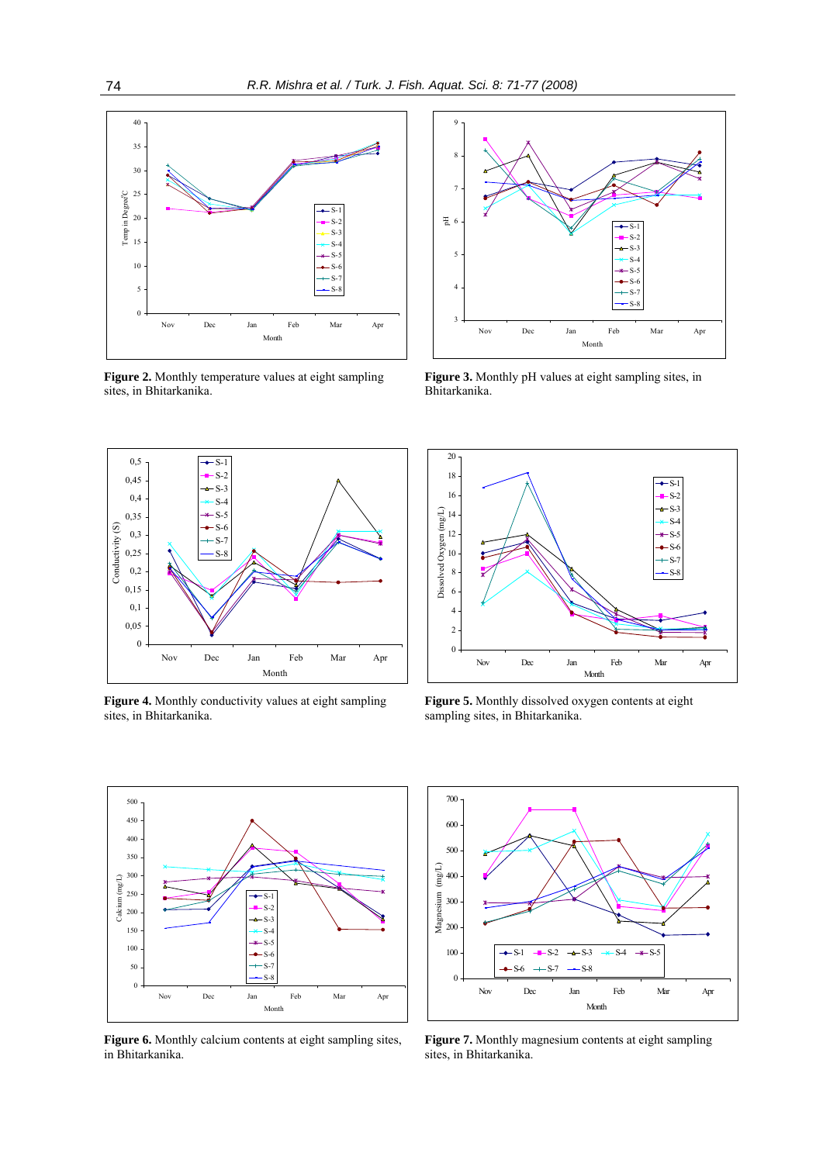

**Figure 2.** Monthly temperature values at eight sampling sites, in Bhitarkanika.



**Figure 4.** Monthly conductivity values at eight sampling sites, in Bhitarkanika.



**Figure 3.** Monthly pH values at eight sampling sites, in Bhitarkanika.



**Figure 5.** Monthly dissolved oxygen contents at eight sampling sites, in Bhitarkanika.



**Figure 6.** Monthly calcium contents at eight sampling sites, in Bhitarkanika.



Figure 7. Monthly magnesium contents at eight sampling sites, in Bhitarkanika.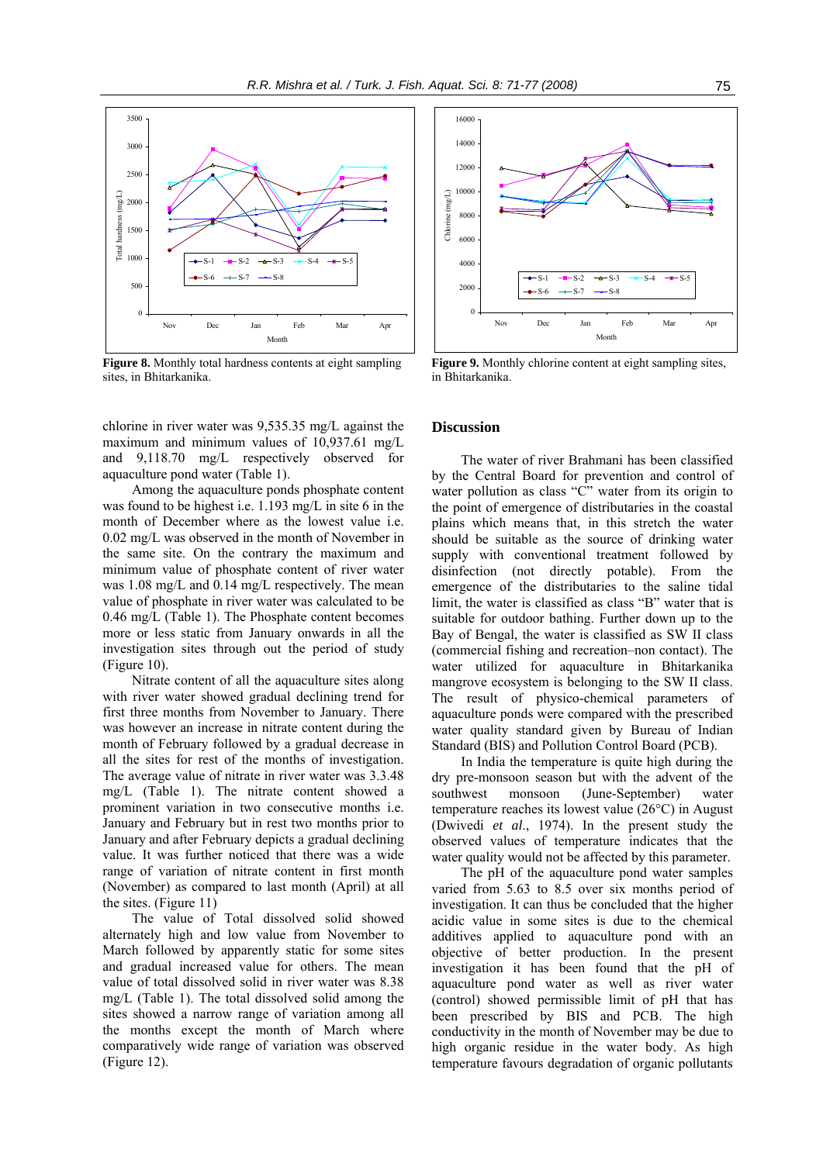

**Figure 8.** Monthly total hardness contents at eight sampling sites, in Bhitarkanika.

chlorine in river water was 9,535.35 mg/L against the maximum and minimum values of 10,937.61 mg/L and 9,118.70 mg/L respectively observed for aquaculture pond water (Table 1).

Among the aquaculture ponds phosphate content was found to be highest i.e. 1.193 mg/L in site 6 in the month of December where as the lowest value i.e. 0.02 mg/L was observed in the month of November in the same site. On the contrary the maximum and minimum value of phosphate content of river water was 1.08 mg/L and 0.14 mg/L respectively. The mean value of phosphate in river water was calculated to be 0.46 mg/L (Table 1). The Phosphate content becomes more or less static from January onwards in all the investigation sites through out the period of study (Figure 10).

Nitrate content of all the aquaculture sites along with river water showed gradual declining trend for first three months from November to January. There was however an increase in nitrate content during the month of February followed by a gradual decrease in all the sites for rest of the months of investigation. The average value of nitrate in river water was 3.3.48 mg/L (Table 1). The nitrate content showed a prominent variation in two consecutive months i.e. January and February but in rest two months prior to January and after February depicts a gradual declining value. It was further noticed that there was a wide range of variation of nitrate content in first month (November) as compared to last month (April) at all the sites. (Figure 11)

The value of Total dissolved solid showed alternately high and low value from November to March followed by apparently static for some sites and gradual increased value for others. The mean value of total dissolved solid in river water was 8.38 mg/L (Table 1). The total dissolved solid among the sites showed a narrow range of variation among all the months except the month of March where comparatively wide range of variation was observed (Figure 12).



**Figure 9.** Monthly chlorine content at eight sampling sites, in Bhitarkanika.

#### **Discussion**

The water of river Brahmani has been classified by the Central Board for prevention and control of water pollution as class "C" water from its origin to the point of emergence of distributaries in the coastal plains which means that, in this stretch the water should be suitable as the source of drinking water supply with conventional treatment followed by disinfection (not directly potable). From the emergence of the distributaries to the saline tidal limit, the water is classified as class "B" water that is suitable for outdoor bathing. Further down up to the Bay of Bengal, the water is classified as SW II class (commercial fishing and recreation–non contact). The water utilized for aquaculture in Bhitarkanika mangrove ecosystem is belonging to the SW II class. The result of physico-chemical parameters of aquaculture ponds were compared with the prescribed water quality standard given by Bureau of Indian Standard (BIS) and Pollution Control Board (PCB).

In India the temperature is quite high during the dry pre-monsoon season but with the advent of the southwest monsoon (June-September) water temperature reaches its lowest value (26°C) in August (Dwivedi *et al*., 1974). In the present study the observed values of temperature indicates that the water quality would not be affected by this parameter.

The pH of the aquaculture pond water samples varied from 5.63 to 8.5 over six months period of investigation. It can thus be concluded that the higher acidic value in some sites is due to the chemical additives applied to aquaculture pond with an objective of better production. In the present investigation it has been found that the pH of aquaculture pond water as well as river water (control) showed permissible limit of pH that has been prescribed by BIS and PCB. The high conductivity in the month of November may be due to high organic residue in the water body. As high temperature favours degradation of organic pollutants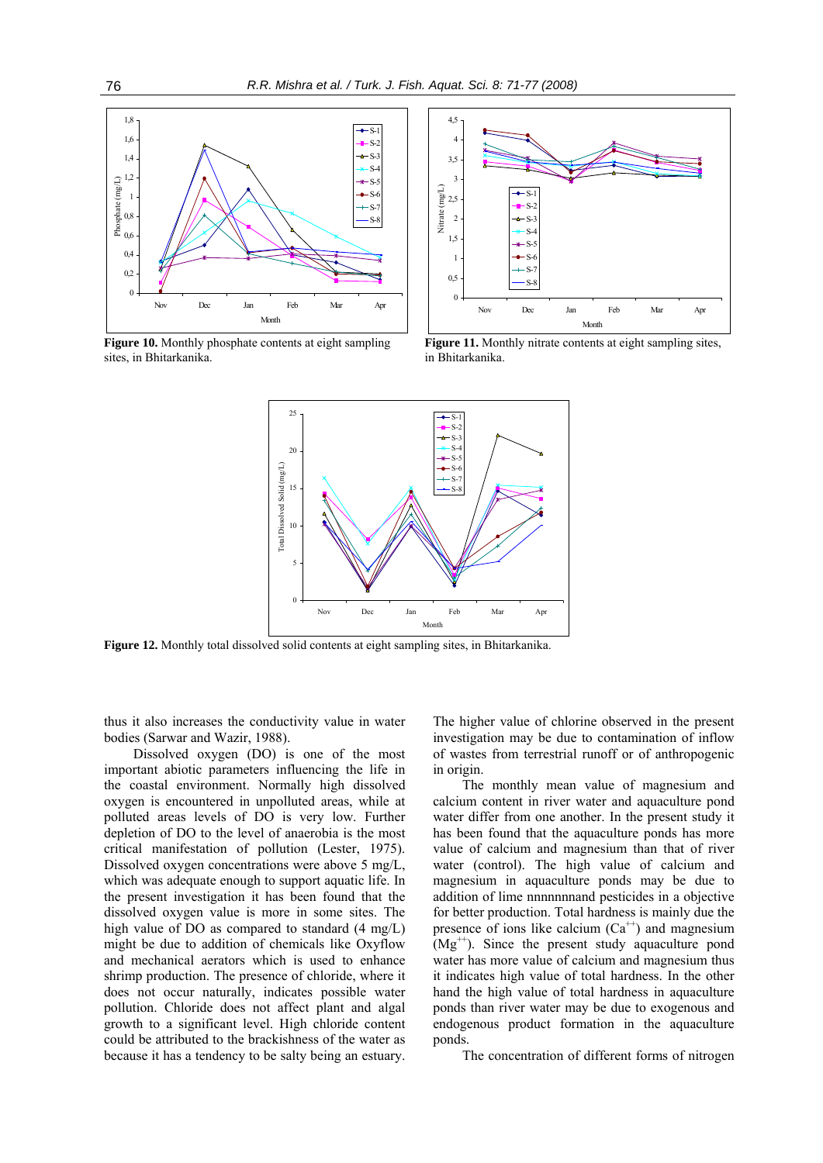

**Figure 10.** Monthly phosphate contents at eight sampling sites, in Bhitarkanika.



Figure 11. Monthly nitrate contents at eight sampling sites, in Bhitarkanika.



**Figure 12.** Monthly total dissolved solid contents at eight sampling sites, in Bhitarkanika.

thus it also increases the conductivity value in water bodies (Sarwar and Wazir, 1988).

Dissolved oxygen (DO) is one of the most important abiotic parameters influencing the life in the coastal environment. Normally high dissolved oxygen is encountered in unpolluted areas, while at polluted areas levels of DO is very low. Further depletion of DO to the level of anaerobia is the most critical manifestation of pollution (Lester, 1975). Dissolved oxygen concentrations were above 5 mg/L, which was adequate enough to support aquatic life. In the present investigation it has been found that the dissolved oxygen value is more in some sites. The high value of DO as compared to standard (4 mg/L) might be due to addition of chemicals like Oxyflow and mechanical aerators which is used to enhance shrimp production. The presence of chloride, where it does not occur naturally, indicates possible water pollution. Chloride does not affect plant and algal growth to a significant level. High chloride content could be attributed to the brackishness of the water as because it has a tendency to be salty being an estuary.

The higher value of chlorine observed in the present investigation may be due to contamination of inflow of wastes from terrestrial runoff or of anthropogenic in origin.

The monthly mean value of magnesium and calcium content in river water and aquaculture pond water differ from one another. In the present study it has been found that the aquaculture ponds has more value of calcium and magnesium than that of river water (control). The high value of calcium and magnesium in aquaculture ponds may be due to addition of lime nnnnnnnand pesticides in a objective for better production. Total hardness is mainly due the presence of ions like calcium  $(Ca^{++})$  and magnesium  $(Mg<sup>++</sup>)$ . Since the present study aquaculture pond water has more value of calcium and magnesium thus it indicates high value of total hardness. In the other hand the high value of total hardness in aquaculture ponds than river water may be due to exogenous and endogenous product formation in the aquaculture ponds.

The concentration of different forms of nitrogen